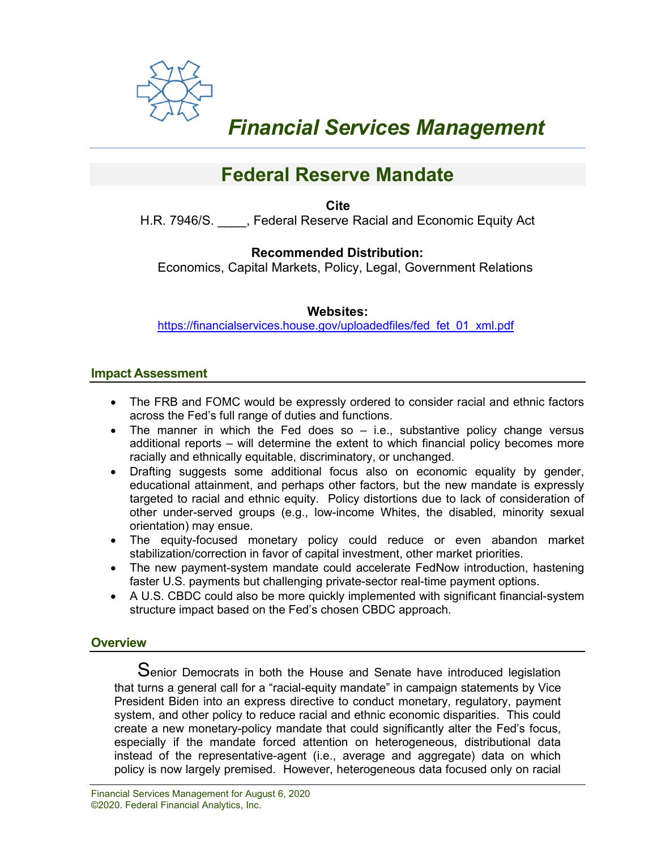

# *Financial Services Management*

# **Federal Reserve Mandate**

**Cite** H.R. 7946/S. \_\_\_\_, Federal Reserve Racial and Economic Equity Act

## **Recommended Distribution:**

Economics, Capital Markets, Policy, Legal, Government Relations

#### **Websites:**

[https://financialservices.house.gov/uploadedfiles/fed\\_fet\\_01\\_xml.pdf](https://financialservices.house.gov/uploadedfiles/fed_fet_01_xml.pdf)

#### **Impact Assessment**

- The FRB and FOMC would be expressly ordered to consider racial and ethnic factors across the Fed's full range of duties and functions.
- The manner in which the Fed does so  $-$  i.e., substantive policy change versus additional reports – will determine the extent to which financial policy becomes more racially and ethnically equitable, discriminatory, or unchanged.
- Drafting suggests some additional focus also on economic equality by gender, educational attainment, and perhaps other factors, but the new mandate is expressly targeted to racial and ethnic equity. Policy distortions due to lack of consideration of other under-served groups (e.g., low-income Whites, the disabled, minority sexual orientation) may ensue.
- The equity-focused monetary policy could reduce or even abandon market stabilization/correction in favor of capital investment, other market priorities.
- The new payment-system mandate could accelerate FedNow introduction, hastening faster U.S. payments but challenging private-sector real-time payment options.
- A U.S. CBDC could also be more quickly implemented with significant financial-system structure impact based on the Fed's chosen CBDC approach.

#### **Overview**

Senior Democrats in both the House and Senate have introduced legislation that turns a general call for a "racial-equity mandate" in campaign statements by Vice President Biden into an express directive to conduct monetary, regulatory, payment system, and other policy to reduce racial and ethnic economic disparities. This could create a new monetary-policy mandate that could significantly alter the Fed's focus, especially if the mandate forced attention on heterogeneous, distributional data instead of the representative-agent (i.e., average and aggregate) data on which policy is now largely premised. However, heterogeneous data focused only on racial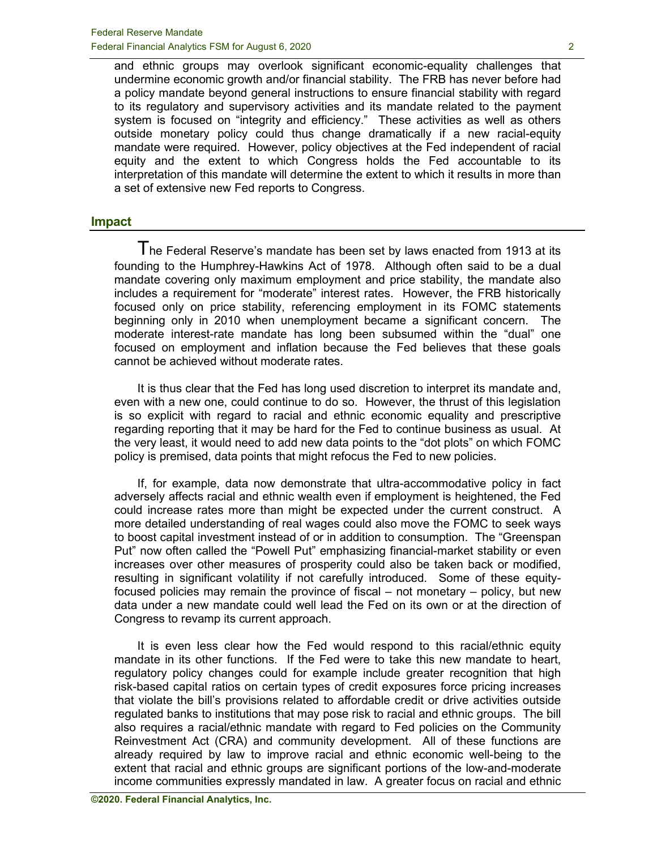and ethnic groups may overlook significant economic-equality challenges that undermine economic growth and/or financial stability. The FRB has never before had a policy mandate beyond general instructions to ensure financial stability with regard to its regulatory and supervisory activities and its mandate related to the payment system is focused on "integrity and efficiency." These activities as well as others outside monetary policy could thus change dramatically if a new racial-equity mandate were required. However, policy objectives at the Fed independent of racial equity and the extent to which Congress holds the Fed accountable to its interpretation of this mandate will determine the extent to which it results in more than a set of extensive new Fed reports to Congress.

#### **Impact**

The Federal Reserve's mandate has been set by laws enacted from 1913 at its founding to the Humphrey-Hawkins Act of 1978. Although often said to be a dual mandate covering only maximum employment and price stability, the mandate also includes a requirement for "moderate" interest rates. However, the FRB historically focused only on price stability, referencing employment in its FOMC statements beginning only in 2010 when unemployment became a significant concern. The moderate interest-rate mandate has long been subsumed within the "dual" one focused on employment and inflation because the Fed believes that these goals cannot be achieved without moderate rates.

It is thus clear that the Fed has long used discretion to interpret its mandate and, even with a new one, could continue to do so. However, the thrust of this legislation is so explicit with regard to racial and ethnic economic equality and prescriptive regarding reporting that it may be hard for the Fed to continue business as usual. At the very least, it would need to add new data points to the "dot plots" on which FOMC policy is premised, data points that might refocus the Fed to new policies.

If, for example, data now demonstrate that ultra-accommodative policy in fact adversely affects racial and ethnic wealth even if employment is heightened, the Fed could increase rates more than might be expected under the current construct. A more detailed understanding of real wages could also move the FOMC to seek ways to boost capital investment instead of or in addition to consumption. The "Greenspan Put" now often called the "Powell Put" emphasizing financial-market stability or even increases over other measures of prosperity could also be taken back or modified, resulting in significant volatility if not carefully introduced. Some of these equityfocused policies may remain the province of fiscal – not monetary – policy, but new data under a new mandate could well lead the Fed on its own or at the direction of Congress to revamp its current approach.

It is even less clear how the Fed would respond to this racial/ethnic equity mandate in its other functions. If the Fed were to take this new mandate to heart, regulatory policy changes could for example include greater recognition that high risk-based capital ratios on certain types of credit exposures force pricing increases that violate the bill's provisions related to affordable credit or drive activities outside regulated banks to institutions that may pose risk to racial and ethnic groups. The bill also requires a racial/ethnic mandate with regard to Fed policies on the Community Reinvestment Act (CRA) and community development. All of these functions are already required by law to improve racial and ethnic economic well-being to the extent that racial and ethnic groups are significant portions of the low-and-moderate income communities expressly mandated in law. A greater focus on racial and ethnic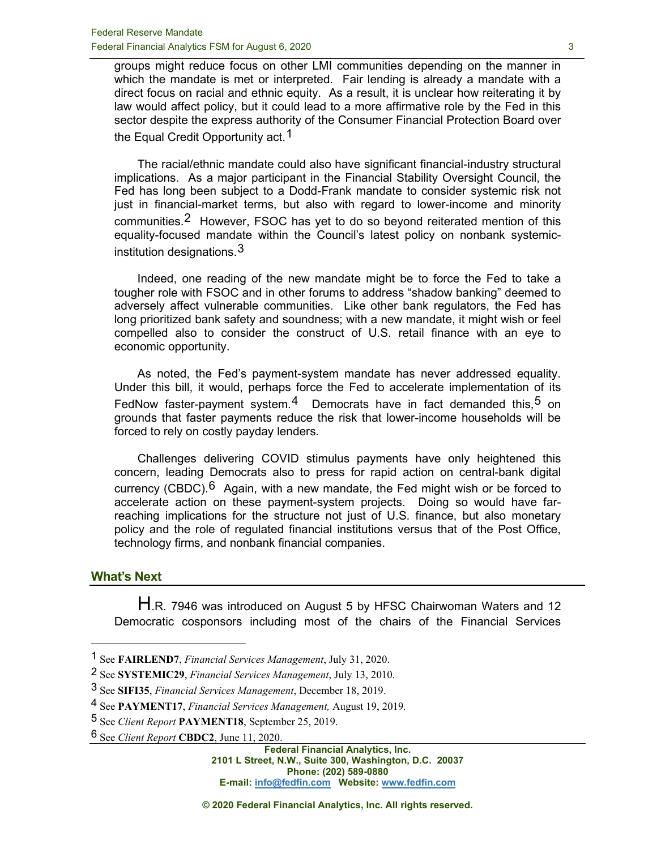groups might reduce focus on other LMI communities depending on the manner in which the mandate is met or interpreted. Fair lending is already a mandate with a direct focus on racial and ethnic equity. As a result, it is unclear how reiterating it by law would affect policy, but it could lead to a more affirmative role by the Fed in this sector despite the express authority of the Consumer Financial Protection Board over the Equal Credit Opportunity act.<sup>[1](#page-2-0)</sup>

The racial/ethnic mandate could also have significant financial-industry structural implications. As a major participant in the Financial Stability Oversight Council, the Fed has long been subject to a Dodd-Frank mandate to consider systemic risk not just in financial-market terms, but also with regard to lower-income and minority communities.[2](#page-2-1) However, FSOC has yet to do so beyond reiterated mention of this equality-focused mandate within the Council's latest policy on nonbank systemicinstitution designations.  $3$ 

Indeed, one reading of the new mandate might be to force the Fed to take a tougher role with FSOC and in other forums to address "shadow banking" deemed to adversely affect vulnerable communities. Like other bank regulators, the Fed has long prioritized bank safety and soundness; with a new mandate, it might wish or feel compelled also to consider the construct of U.S. retail finance with an eye to economic opportunity.

As noted, the Fed's payment-system mandate has never addressed equality. Under this bill, it would, perhaps force the Fed to accelerate implementation of its FedNow faster-payment system.<sup>[4](#page-2-3)</sup> Democrats have in fact demanded this,<sup>[5](#page-2-4)</sup> on grounds that faster payments reduce the risk that lower-income households will be forced to rely on costly payday lenders.

Challenges delivering COVID stimulus payments have only heightened this concern, leading Democrats also to press for rapid action on central-bank digital currency (CBDC).  $6$  Again, with a new mandate, the Fed might wish or be forced to accelerate action on these payment-system projects. Doing so would have farreaching implications for the structure not just of U.S. finance, but also monetary policy and the role of regulated financial institutions versus that of the Post Office, technology firms, and nonbank financial companies.

#### **What's Next**

H.R. 7946 was introduced on August 5 by HFSC Chairwoman Waters and 12 Democratic cosponsors including most of the chairs of the Financial Services

<span id="page-2-0"></span><sup>1</sup> See **FAIRLEND7**, *Financial Services Management*, July 31, 2020.

<span id="page-2-1"></span><sup>2</sup> See **SYSTEMIC29**, *Financial Services Management*, July 13, 2010.

<span id="page-2-2"></span><sup>3</sup> See **SIFI35**, *Financial Services Management*, December 18, 2019.

<span id="page-2-3"></span><sup>4</sup> See **PAYMENT17**, *Financial Services Management,* August 19, 2019*.*

<span id="page-2-4"></span><sup>5</sup> See *Client Report* **PAYMENT18**, September 25, 2019.

<span id="page-2-5"></span><sup>6</sup> See *Client Report* **CBDC2**, June 11, 2020.

**Federal Financial Analytics, Inc. 2101 L Street, N.W., Suite 300, Washington, D.C. 20037 Phone: (202) 589-0880 E-mail: [info@fedfin.com](mailto:info@fedfin.com) Website[: www.fedfin.com](http://www.fedfin.com/)**